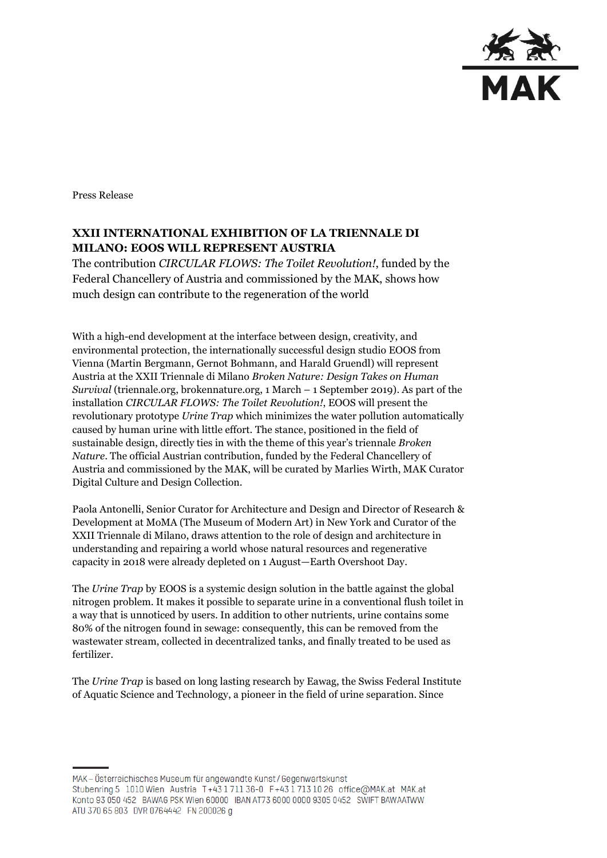

Press Release

## **XXII INTERNATIONAL EXHIBITION OF LA TRIENNALE DI MILANO: EOOS WILL REPRESENT AUSTRIA**

The contribution *CIRCULAR FLOWS: The Toilet Revolution!*, funded by the Federal Chancellery of Austria and commissioned by the MAK, shows how much design can contribute to the regeneration of the world

With a high-end development at the interface between design, creativity, and environmental protection, the internationally successful design studio EOOS from Vienna (Martin Bergmann, Gernot Bohmann, and Harald Gruendl) will represent Austria at the XXII Triennale di Milano *Broken Nature: Design Takes on Human Survival* (triennale.org, brokennature.org, 1 March – 1 September 2019). As part of the installation *CIRCULAR FLOWS: The Toilet Revolution!*, EOOS will present the revolutionary prototype *Urine Trap* which minimizes the water pollution automatically caused by human urine with little effort. The stance, positioned in the field of sustainable design, directly ties in with the theme of this year's triennale *Broken Nature*. The official Austrian contribution, funded by the Federal Chancellery of Austria and commissioned by the MAK, will be curated by Marlies Wirth, MAK Curator Digital Culture and Design Collection.

Paola Antonelli, Senior Curator for Architecture and Design and Director of Research & Development at MoMA (The Museum of Modern Art) in New York and Curator of the XXII Triennale di Milano, draws attention to the role of design and architecture in understanding and repairing a world whose natural resources and regenerative capacity in 2018 were already depleted on 1 August—Earth Overshoot Day.

The *Urine Trap* by EOOS is a systemic design solution in the battle against the global nitrogen problem. It makes it possible to separate urine in a conventional flush toilet in a way that is unnoticed by users. In addition to other nutrients, urine contains some 80% of the nitrogen found in sewage: consequently, this can be removed from the wastewater stream, collected in decentralized tanks, and finally treated to be used as fertilizer.

The *Urine Trap* is based on long lasting research by Eawag, the Swiss Federal Institute of Aquatic Science and Technology, a pioneer in the field of urine separation. Since

MAK – Österreichisches Museum für angewandte Kunst/Gegenwartskunst Stubenring 5 1010 Wien Austria T+43 1711 36-0 F+43 1713 10 26 office@MAK.at MAK.at Konto 93 050 452 BAWAG PSK Wien 60000 IBAN AT73 6000 0000 9305 0452 SWIFT BAWAATWW ATU 370 65 803 DVR 0764442 FN 200026 g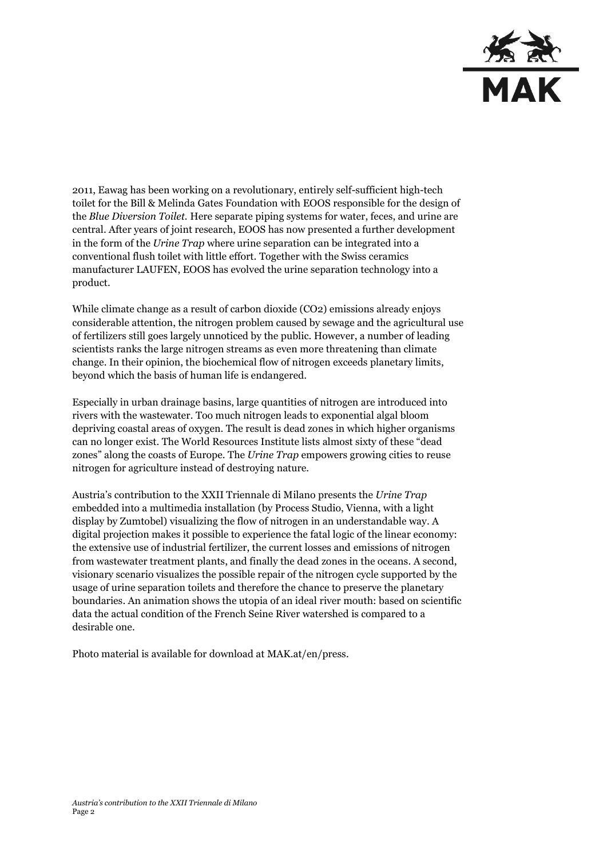

2011, Eawag has been working on a revolutionary, entirely self-sufficient high-tech toilet for the Bill & Melinda Gates Foundation with EOOS responsible for the design of the *Blue Diversion Toilet.* Here separate piping systems for water, feces, and urine are central. After years of joint research, EOOS has now presented a further development in the form of the *Urine Trap* where urine separation can be integrated into a conventional flush toilet with little effort. Together with the Swiss ceramics manufacturer LAUFEN, EOOS has evolved the urine separation technology into a product.

While climate change as a result of carbon dioxide (CO2) emissions already enjoys considerable attention, the nitrogen problem caused by sewage and the agricultural use of fertilizers still goes largely unnoticed by the public. However, a number of leading scientists ranks the large nitrogen streams as even more threatening than climate change. In their opinion, the biochemical flow of nitrogen exceeds planetary limits, beyond which the basis of human life is endangered.

Especially in urban drainage basins, large quantities of nitrogen are introduced into rivers with the wastewater. Too much nitrogen leads to exponential algal bloom depriving coastal areas of oxygen. The result is dead zones in which higher organisms can no longer exist. The World Resources Institute lists almost sixty of these "dead zones" along the coasts of Europe. The *Urine Trap* empowers growing cities to reuse nitrogen for agriculture instead of destroying nature.

Austria's contribution to the XXII Triennale di Milano presents the *Urine Trap* embedded into a multimedia installation (by Process Studio, Vienna, with a light display by Zumtobel) visualizing the flow of nitrogen in an understandable way. A digital projection makes it possible to experience the fatal logic of the linear economy: the extensive use of industrial fertilizer, the current losses and emissions of nitrogen from wastewater treatment plants, and finally the dead zones in the oceans. A second, visionary scenario visualizes the possible repair of the nitrogen cycle supported by the usage of urine separation toilets and therefore the chance to preserve the planetary boundaries. An animation shows the utopia of an ideal river mouth: based on scientific data the actual condition of the French Seine River watershed is compared to a desirable one.

Photo material is available for download at MAK.at/en/press.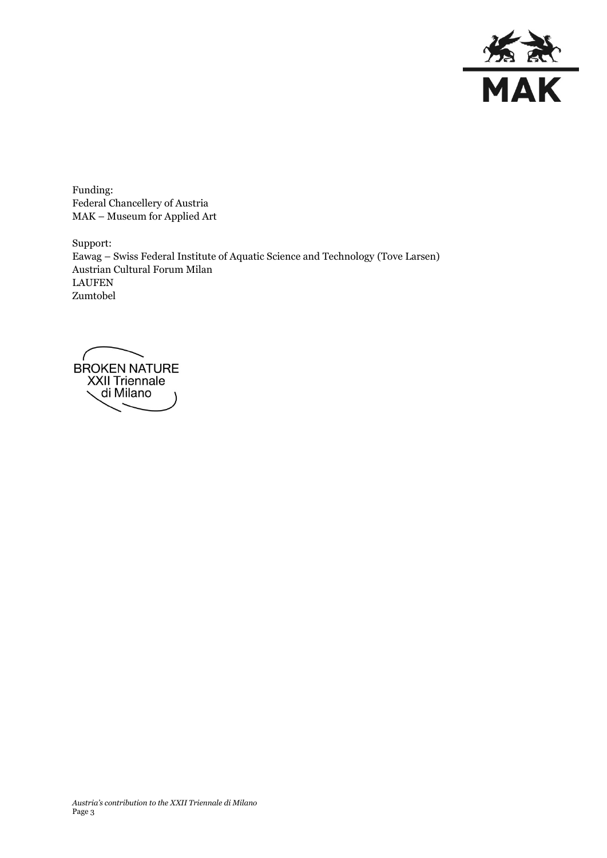

Funding: Federal Chancellery of Austria MAK – Museum for Applied Art

Support: Eawag – Swiss Federal Institute of Aquatic Science and Technology (Tove Larsen) Austrian Cultural Forum Milan LAUFEN Zumtobel

BROKEN NATURE<br>XXII Triennale di Milano